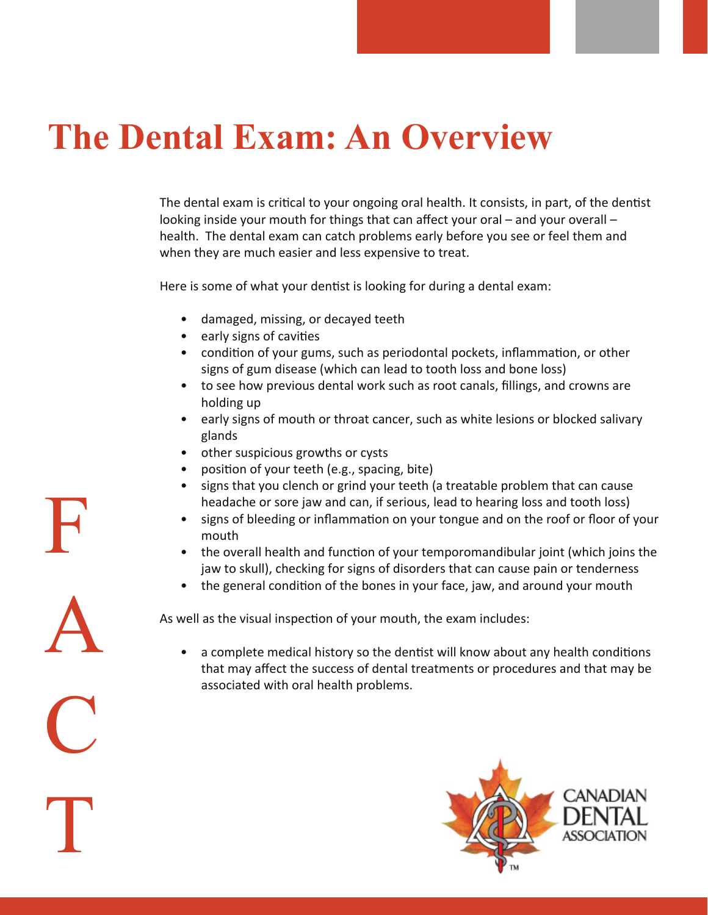## **The Dental Exam: An Overview**

The dental exam is critical to your ongoing oral health. It consists, in part, of the dentist looking inside your mouth for things that can affect your oral – and your overall – health. The dental exam can catch problems early before you see or feel them and when they are much easier and less expensive to treat.

Here is some of what your dentist is looking for during a dental exam:

- damaged, missing, or decayed teeth
- early signs of cavities
- condition of your gums, such as periodontal pockets, inflammation, or other signs of gum disease (which can lead to tooth loss and bone loss)
- to see how previous dental work such as root canals, fillings, and crowns are holding up
- early signs of mouth or throat cancer, such as white lesions or blocked salivary glands
- other suspicious growths or cysts
- position of your teeth (e.g., spacing, bite)
- signs that you clench or grind your teeth (a treatable problem that can cause headache or sore jaw and can, if serious, lead to hearing loss and tooth loss)
- signs of bleeding or inflammation on your tongue and on the roof or floor of your mouth
- the overall health and function of your temporomandibular joint (which joins the jaw to skull), checking for signs of disorders that can cause pain or tenderness
- the general condition of the bones in your face, jaw, and around your mouth

As well as the visual inspection of your mouth, the exam includes:

• a complete medical history so the dentist will know about any health conditions that may affect the success of dental treatments or procedures and that may be associated with oral health problems.



F A C T